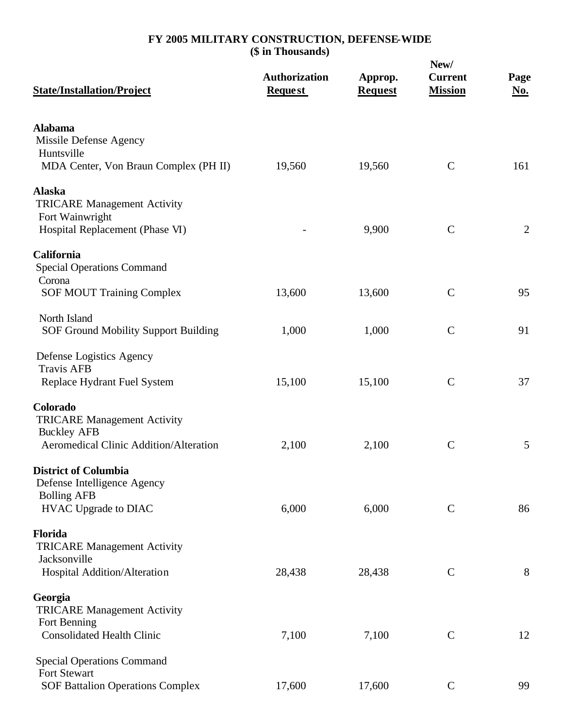| <b>State/Installation/Project</b>                                                                              | <b>Authorization</b><br><b>Request</b> | Approp.<br><b>Request</b> | New/<br><b>Current</b><br><b>Mission</b> | Page<br><u>No.</u> |
|----------------------------------------------------------------------------------------------------------------|----------------------------------------|---------------------------|------------------------------------------|--------------------|
| <b>Alabama</b><br>Missile Defense Agency<br>Huntsville                                                         |                                        |                           |                                          |                    |
| MDA Center, Von Braun Complex (PH II)                                                                          | 19,560                                 | 19,560                    | $\mathbf C$                              | 161                |
| <b>Alaska</b><br><b>TRICARE Management Activity</b><br>Fort Wainwright                                         |                                        |                           |                                          |                    |
| Hospital Replacement (Phase VI)                                                                                |                                        | 9,900                     | $\mathcal{C}$                            | $\overline{2}$     |
| California<br><b>Special Operations Command</b><br>Corona                                                      |                                        |                           |                                          |                    |
| <b>SOF MOUT Training Complex</b>                                                                               | 13,600                                 | 13,600                    | $\mathcal{C}$                            | 95                 |
| North Island<br>SOF Ground Mobility Support Building                                                           | 1,000                                  | 1,000                     | $\mathcal{C}$                            | 91                 |
| Defense Logistics Agency<br><b>Travis AFB</b>                                                                  |                                        |                           |                                          |                    |
| Replace Hydrant Fuel System                                                                                    | 15,100                                 | 15,100                    | $\mathcal{C}$                            | 37                 |
| Colorado<br><b>TRICARE Management Activity</b><br><b>Buckley AFB</b><br>Aeromedical Clinic Addition/Alteration | 2,100                                  | 2,100                     | $\mathbf C$                              | 5                  |
| <b>District of Columbia</b><br>Defense Intelligence Agency                                                     |                                        |                           |                                          |                    |
| <b>Bolling AFB</b><br>HVAC Upgrade to DIAC                                                                     | 6,000                                  | 6,000                     | $\mathbf C$                              | 86                 |
| Florida<br><b>TRICARE Management Activity</b><br>Jacksonville                                                  |                                        |                           |                                          |                    |
| Hospital Addition/Alteration                                                                                   | 28,438                                 | 28,438                    | $\mathbf C$                              | 8                  |
| Georgia<br><b>TRICARE Management Activity</b><br>Fort Benning                                                  |                                        |                           |                                          |                    |
| <b>Consolidated Health Clinic</b>                                                                              | 7,100                                  | 7,100                     | $\mathsf{C}$                             | 12                 |
| <b>Special Operations Command</b><br><b>Fort Stewart</b>                                                       |                                        |                           |                                          |                    |
| <b>SOF Battalion Operations Complex</b>                                                                        | 17,600                                 | 17,600                    | $\mathsf{C}$                             | 99                 |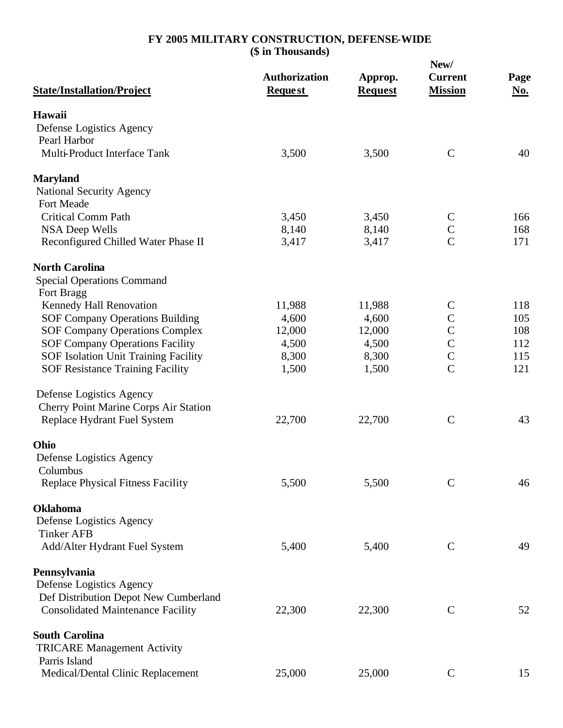|                                                              |                                        |                           | New/                             |                    |  |
|--------------------------------------------------------------|----------------------------------------|---------------------------|----------------------------------|--------------------|--|
| <b>State/Installation/Project</b>                            | <b>Authorization</b><br><b>Request</b> | Approp.<br><b>Request</b> | <b>Current</b><br><b>Mission</b> | Page<br><u>No.</u> |  |
| Hawaii                                                       |                                        |                           |                                  |                    |  |
| Defense Logistics Agency                                     |                                        |                           |                                  |                    |  |
| Pearl Harbor                                                 |                                        |                           |                                  |                    |  |
| Multi-Product Interface Tank                                 | 3,500                                  | 3,500                     | $\mathcal{C}$                    | 40                 |  |
| <b>Maryland</b>                                              |                                        |                           |                                  |                    |  |
| National Security Agency                                     |                                        |                           |                                  |                    |  |
| Fort Meade                                                   |                                        |                           |                                  |                    |  |
| <b>Critical Comm Path</b>                                    | 3,450                                  | 3,450                     | $\mathcal{C}$<br>$\mathbf C$     | 166<br>168         |  |
| <b>NSA Deep Wells</b><br>Reconfigured Chilled Water Phase II | 8,140<br>3,417                         | 8,140<br>3,417            | $\overline{C}$                   | 171                |  |
|                                                              |                                        |                           |                                  |                    |  |
| <b>North Carolina</b>                                        |                                        |                           |                                  |                    |  |
| <b>Special Operations Command</b>                            |                                        |                           |                                  |                    |  |
| Fort Bragg<br>Kennedy Hall Renovation                        | 11,988                                 | 11,988                    | $\mathsf{C}$                     | 118                |  |
| <b>SOF Company Operations Building</b>                       | 4,600                                  | 4,600                     | $\mathsf{C}$                     | 105                |  |
| <b>SOF Company Operations Complex</b>                        | 12,000                                 | 12,000                    | $\overline{C}$                   | 108                |  |
| <b>SOF Company Operations Facility</b>                       | 4,500                                  | 4,500                     | $\frac{C}{C}$                    | 112                |  |
| SOF Isolation Unit Training Facility                         | 8,300                                  | 8,300                     |                                  | 115                |  |
| <b>SOF Resistance Training Facility</b>                      | 1,500                                  | 1,500                     | $\overline{C}$                   | 121                |  |
| Defense Logistics Agency                                     |                                        |                           |                                  |                    |  |
| <b>Cherry Point Marine Corps Air Station</b>                 |                                        |                           |                                  |                    |  |
| Replace Hydrant Fuel System                                  | 22,700                                 | 22,700                    | $\mathbf C$                      | 43                 |  |
| Ohio                                                         |                                        |                           |                                  |                    |  |
| Defense Logistics Agency                                     |                                        |                           |                                  |                    |  |
| Columbus                                                     |                                        |                           |                                  |                    |  |
| <b>Replace Physical Fitness Facility</b>                     | 5,500                                  | 5,500                     | $\mathbf C$                      | 46                 |  |
| <b>Oklahoma</b>                                              |                                        |                           |                                  |                    |  |
| Defense Logistics Agency                                     |                                        |                           |                                  |                    |  |
| <b>Tinker AFB</b>                                            |                                        |                           |                                  |                    |  |
| Add/Alter Hydrant Fuel System                                | 5,400                                  | 5,400                     | $\mathbf C$                      | 49                 |  |
| Pennsylvania                                                 |                                        |                           |                                  |                    |  |
| Defense Logistics Agency                                     |                                        |                           |                                  |                    |  |
| Def Distribution Depot New Cumberland                        |                                        |                           |                                  |                    |  |
| <b>Consolidated Maintenance Facility</b>                     | 22,300                                 | 22,300                    | $\mathbf C$                      | 52                 |  |
| <b>South Carolina</b>                                        |                                        |                           |                                  |                    |  |
| <b>TRICARE Management Activity</b>                           |                                        |                           |                                  |                    |  |
| Parris Island                                                |                                        |                           |                                  |                    |  |
| Medical/Dental Clinic Replacement                            | 25,000                                 | 25,000                    | $\mathbf C$                      | 15                 |  |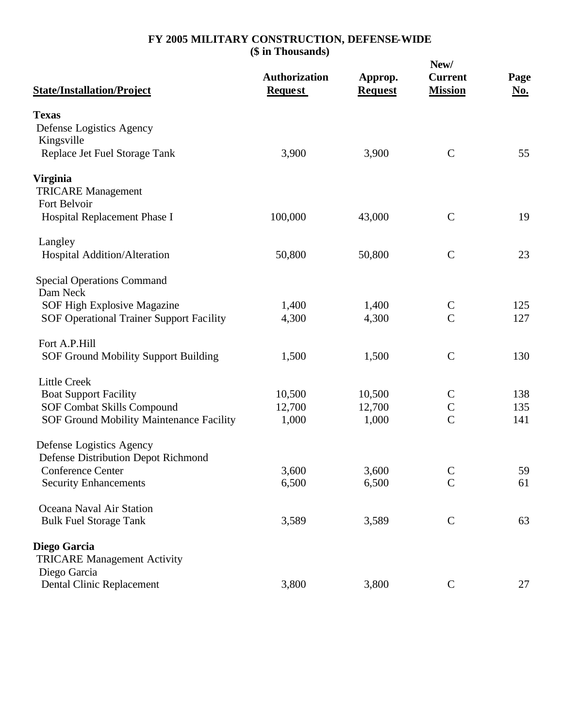| <b>State/Installation/Project</b>                  | <b>Authorization</b><br><b>Request</b> | Approp.<br><b>Request</b> | New/<br><b>Current</b><br><b>Mission</b> | Page<br><u>No.</u> |
|----------------------------------------------------|----------------------------------------|---------------------------|------------------------------------------|--------------------|
| <b>Texas</b>                                       |                                        |                           |                                          |                    |
| Defense Logistics Agency                           |                                        |                           |                                          |                    |
| Kingsville                                         |                                        |                           |                                          |                    |
| Replace Jet Fuel Storage Tank                      | 3,900                                  | 3,900                     | $\mathcal{C}$                            | 55                 |
| <b>Virginia</b>                                    |                                        |                           |                                          |                    |
| <b>TRICARE Management</b>                          |                                        |                           |                                          |                    |
| Fort Belvoir                                       |                                        |                           |                                          |                    |
| Hospital Replacement Phase I                       | 100,000                                | 43,000                    | $\mathcal{C}$                            | 19                 |
| Langley                                            |                                        |                           |                                          |                    |
| Hospital Addition/Alteration                       | 50,800                                 | 50,800                    | $\mathcal{C}$                            | 23                 |
|                                                    |                                        |                           |                                          |                    |
| <b>Special Operations Command</b><br>Dam Neck      |                                        |                           |                                          |                    |
| SOF High Explosive Magazine                        | 1,400                                  | 1,400                     | $\mathcal{C}$                            | 125                |
| <b>SOF Operational Trainer Support Facility</b>    | 4,300                                  | 4,300                     | $\overline{C}$                           | 127                |
|                                                    |                                        |                           |                                          |                    |
| Fort A.P.Hill                                      |                                        |                           |                                          |                    |
| <b>SOF Ground Mobility Support Building</b>        | 1,500                                  | 1,500                     | $\mathcal{C}$                            | 130                |
| <b>Little Creek</b>                                |                                        |                           |                                          |                    |
| <b>Boat Support Facility</b>                       | 10,500                                 | 10,500                    | $\mathsf{C}$                             | 138                |
| <b>SOF Combat Skills Compound</b>                  | 12,700                                 | 12,700                    | $\mathbf C$                              | 135                |
| SOF Ground Mobility Maintenance Facility           | 1,000                                  | 1,000                     | $\overline{C}$                           | 141                |
| Defense Logistics Agency                           |                                        |                           |                                          |                    |
| <b>Defense Distribution Depot Richmond</b>         |                                        |                           |                                          |                    |
| <b>Conference Center</b>                           | 3,600                                  | 3,600                     | $\mathsf{C}$                             | 59                 |
| <b>Security Enhancements</b>                       | 6,500                                  | 6,500                     | $\mathcal{C}$                            | 61                 |
| Oceana Naval Air Station                           |                                        |                           |                                          |                    |
| <b>Bulk Fuel Storage Tank</b>                      | 3,589                                  | 3,589                     | $\mathbf C$                              | 63                 |
|                                                    |                                        |                           |                                          |                    |
| Diego Garcia                                       |                                        |                           |                                          |                    |
| <b>TRICARE Management Activity</b><br>Diego Garcia |                                        |                           |                                          |                    |
| Dental Clinic Replacement                          | 3,800                                  | 3,800                     | $\mathbf C$                              | 27                 |
|                                                    |                                        |                           |                                          |                    |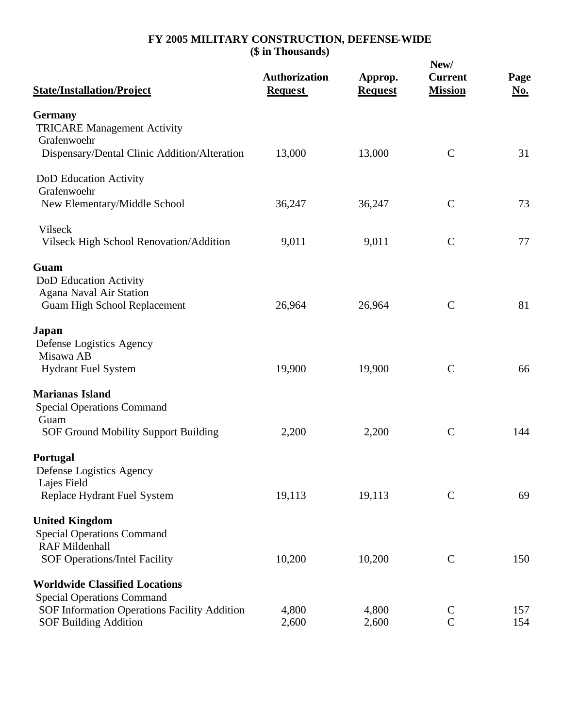| <b>State/Installation/Project</b>                    | <b>Authorization</b><br><b>Request</b> | Approp.<br><b>Request</b> | New/<br><b>Current</b><br><b>Mission</b> | Page<br>No. |
|------------------------------------------------------|----------------------------------------|---------------------------|------------------------------------------|-------------|
| <b>Germany</b><br><b>TRICARE Management Activity</b> |                                        |                           |                                          |             |
| Grafenwoehr                                          |                                        |                           |                                          |             |
| Dispensary/Dental Clinic Addition/Alteration         | 13,000                                 | 13,000                    | $\mathbf C$                              | 31          |
| DoD Education Activity                               |                                        |                           |                                          |             |
| Grafenwoehr                                          |                                        |                           |                                          |             |
| New Elementary/Middle School                         | 36,247                                 | 36,247                    | $\mathcal{C}$                            | 73          |
| Vilseck                                              |                                        |                           |                                          |             |
| Vilseck High School Renovation/Addition              | 9,011                                  | 9,011                     | $\mathcal{C}$                            | 77          |
| Guam                                                 |                                        |                           |                                          |             |
| DoD Education Activity                               |                                        |                           |                                          |             |
| Agana Naval Air Station                              |                                        |                           |                                          |             |
| <b>Guam High School Replacement</b>                  | 26,964                                 | 26,964                    | $\mathcal{C}$                            | 81          |
| Japan                                                |                                        |                           |                                          |             |
| Defense Logistics Agency                             |                                        |                           |                                          |             |
| Misawa AB                                            |                                        |                           |                                          |             |
| <b>Hydrant Fuel System</b>                           | 19,900                                 | 19,900                    | $\mathcal{C}$                            | 66          |
| <b>Marianas Island</b>                               |                                        |                           |                                          |             |
| <b>Special Operations Command</b>                    |                                        |                           |                                          |             |
| Guam                                                 |                                        |                           |                                          |             |
| <b>SOF Ground Mobility Support Building</b>          | 2,200                                  | 2,200                     | $\mathbf C$                              | 144         |
| Portugal                                             |                                        |                           |                                          |             |
| Defense Logistics Agency                             |                                        |                           |                                          |             |
| Lajes Field                                          |                                        |                           |                                          |             |
| Replace Hydrant Fuel System                          | 19,113                                 | 19,113                    | $\mathbf C$                              | 69          |
| <b>United Kingdom</b>                                |                                        |                           |                                          |             |
| <b>Special Operations Command</b>                    |                                        |                           |                                          |             |
| <b>RAF Mildenhall</b>                                |                                        |                           |                                          |             |
| <b>SOF Operations/Intel Facility</b>                 | 10,200                                 | 10,200                    | $\mathbf C$                              | 150         |
| <b>Worldwide Classified Locations</b>                |                                        |                           |                                          |             |
| <b>Special Operations Command</b>                    |                                        |                           |                                          |             |
| SOF Information Operations Facility Addition         | 4,800                                  | 4,800                     | $\mathsf{C}$<br>$\overline{C}$           | 157         |
| <b>SOF Building Addition</b>                         | 2,600                                  | 2,600                     |                                          | 154         |